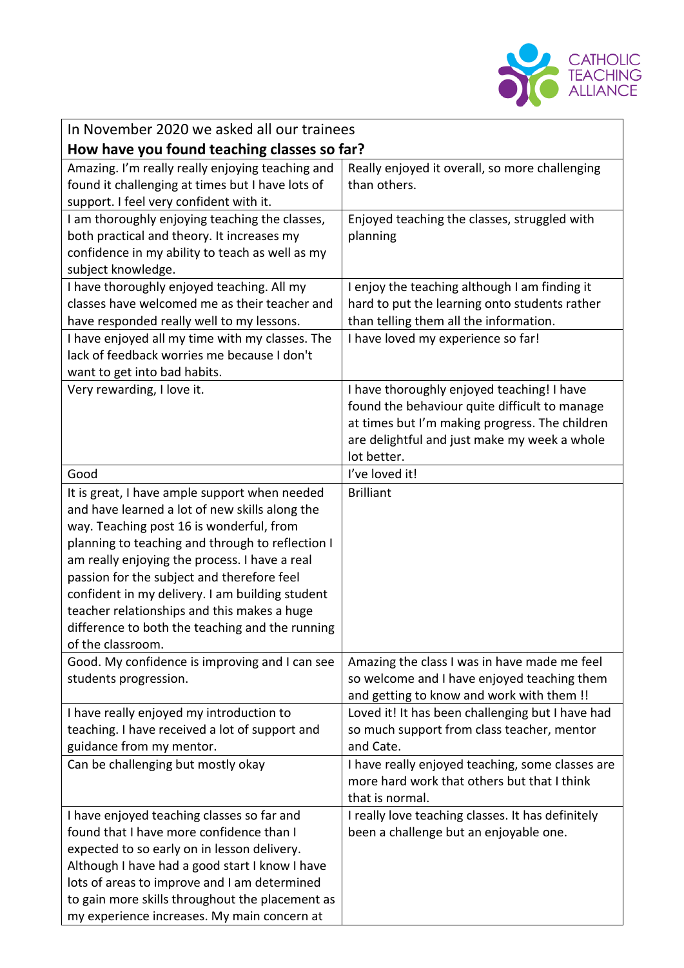

| In November 2020 we asked all our trainees                                                                                                                                                                                                                                                                                                                                                                                                                               |                                                                                                                                                                                                              |  |
|--------------------------------------------------------------------------------------------------------------------------------------------------------------------------------------------------------------------------------------------------------------------------------------------------------------------------------------------------------------------------------------------------------------------------------------------------------------------------|--------------------------------------------------------------------------------------------------------------------------------------------------------------------------------------------------------------|--|
| How have you found teaching classes so far?                                                                                                                                                                                                                                                                                                                                                                                                                              |                                                                                                                                                                                                              |  |
| Amazing. I'm really really enjoying teaching and<br>found it challenging at times but I have lots of<br>support. I feel very confident with it.                                                                                                                                                                                                                                                                                                                          | Really enjoyed it overall, so more challenging<br>than others.                                                                                                                                               |  |
| I am thoroughly enjoying teaching the classes,<br>both practical and theory. It increases my<br>confidence in my ability to teach as well as my<br>subject knowledge.                                                                                                                                                                                                                                                                                                    | Enjoyed teaching the classes, struggled with<br>planning                                                                                                                                                     |  |
| I have thoroughly enjoyed teaching. All my<br>classes have welcomed me as their teacher and<br>have responded really well to my lessons.<br>I have enjoyed all my time with my classes. The<br>lack of feedback worries me because I don't                                                                                                                                                                                                                               | I enjoy the teaching although I am finding it<br>hard to put the learning onto students rather<br>than telling them all the information.<br>I have loved my experience so far!                               |  |
| want to get into bad habits.                                                                                                                                                                                                                                                                                                                                                                                                                                             |                                                                                                                                                                                                              |  |
| Very rewarding, I love it.                                                                                                                                                                                                                                                                                                                                                                                                                                               | I have thoroughly enjoyed teaching! I have<br>found the behaviour quite difficult to manage<br>at times but I'm making progress. The children<br>are delightful and just make my week a whole<br>lot better. |  |
| Good                                                                                                                                                                                                                                                                                                                                                                                                                                                                     | I've loved it!                                                                                                                                                                                               |  |
| It is great, I have ample support when needed<br>and have learned a lot of new skills along the<br>way. Teaching post 16 is wonderful, from<br>planning to teaching and through to reflection I<br>am really enjoying the process. I have a real<br>passion for the subject and therefore feel<br>confident in my delivery. I am building student<br>teacher relationships and this makes a huge<br>difference to both the teaching and the running<br>of the classroom. | <b>Brilliant</b>                                                                                                                                                                                             |  |
| Good. My confidence is improving and I can see<br>students progression.                                                                                                                                                                                                                                                                                                                                                                                                  | Amazing the class I was in have made me feel<br>so welcome and I have enjoyed teaching them<br>and getting to know and work with them !!                                                                     |  |
| I have really enjoyed my introduction to<br>teaching. I have received a lot of support and<br>guidance from my mentor.                                                                                                                                                                                                                                                                                                                                                   | Loved it! It has been challenging but I have had<br>so much support from class teacher, mentor<br>and Cate.                                                                                                  |  |
| Can be challenging but mostly okay                                                                                                                                                                                                                                                                                                                                                                                                                                       | I have really enjoyed teaching, some classes are<br>more hard work that others but that I think<br>that is normal.                                                                                           |  |
| I have enjoyed teaching classes so far and<br>found that I have more confidence than I<br>expected to so early on in lesson delivery.<br>Although I have had a good start I know I have<br>lots of areas to improve and I am determined<br>to gain more skills throughout the placement as<br>my experience increases. My main concern at                                                                                                                                | I really love teaching classes. It has definitely<br>been a challenge but an enjoyable one.                                                                                                                  |  |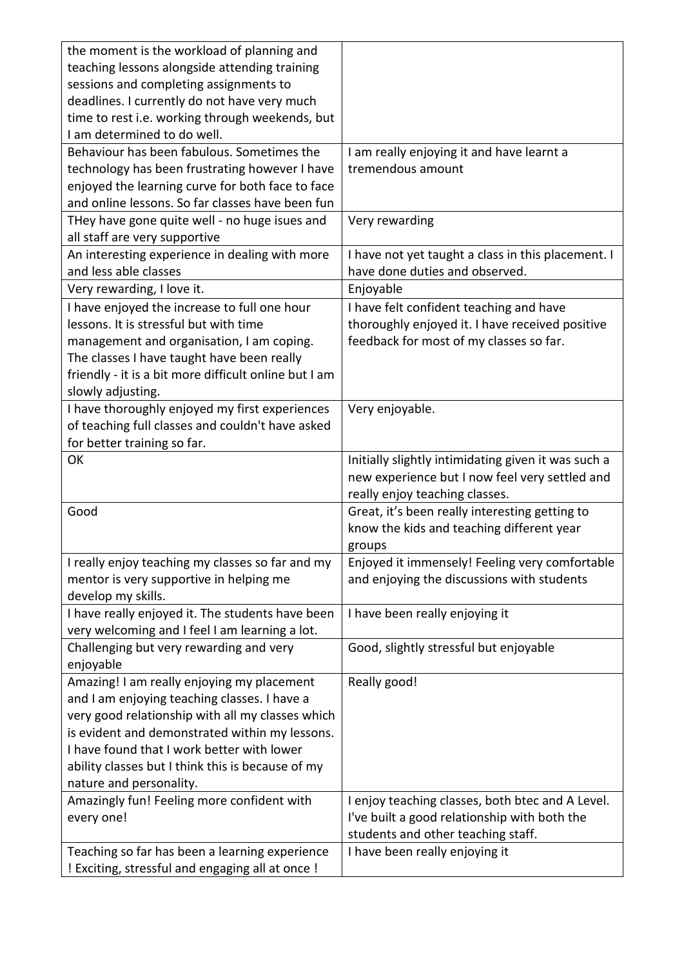| the moment is the workload of planning and            |                                                     |
|-------------------------------------------------------|-----------------------------------------------------|
| teaching lessons alongside attending training         |                                                     |
| sessions and completing assignments to                |                                                     |
| deadlines. I currently do not have very much          |                                                     |
| time to rest i.e. working through weekends, but       |                                                     |
| I am determined to do well.                           |                                                     |
| Behaviour has been fabulous. Sometimes the            | I am really enjoying it and have learnt a           |
| technology has been frustrating however I have        | tremendous amount                                   |
| enjoyed the learning curve for both face to face      |                                                     |
| and online lessons. So far classes have been fun      |                                                     |
| THey have gone quite well - no huge isues and         | Very rewarding                                      |
| all staff are very supportive                         |                                                     |
| An interesting experience in dealing with more        | I have not yet taught a class in this placement. I  |
| and less able classes                                 | have done duties and observed.                      |
| Very rewarding, I love it.                            | Enjoyable                                           |
| I have enjoyed the increase to full one hour          | I have felt confident teaching and have             |
| lessons. It is stressful but with time                | thoroughly enjoyed it. I have received positive     |
| management and organisation, I am coping.             | feedback for most of my classes so far.             |
| The classes I have taught have been really            |                                                     |
| friendly - it is a bit more difficult online but I am |                                                     |
| slowly adjusting.                                     |                                                     |
| I have thoroughly enjoyed my first experiences        | Very enjoyable.                                     |
| of teaching full classes and couldn't have asked      |                                                     |
| for better training so far.                           |                                                     |
| OK                                                    | Initially slightly intimidating given it was such a |
|                                                       | new experience but I now feel very settled and      |
|                                                       | really enjoy teaching classes.                      |
| Good                                                  | Great, it's been really interesting getting to      |
|                                                       | know the kids and teaching different year           |
|                                                       | groups                                              |
| I really enjoy teaching my classes so far and my      | Enjoyed it immensely! Feeling very comfortable      |
| mentor is very supportive in helping me               | and enjoying the discussions with students          |
| develop my skills.                                    |                                                     |
| I have really enjoyed it. The students have been      | I have been really enjoying it                      |
| very welcoming and I feel I am learning a lot.        |                                                     |
| Challenging but very rewarding and very               | Good, slightly stressful but enjoyable              |
| enjoyable                                             |                                                     |
| Amazing! I am really enjoying my placement            | Really good!                                        |
| and I am enjoying teaching classes. I have a          |                                                     |
| very good relationship with all my classes which      |                                                     |
| is evident and demonstrated within my lessons.        |                                                     |
| I have found that I work better with lower            |                                                     |
| ability classes but I think this is because of my     |                                                     |
| nature and personality.                               |                                                     |
| Amazingly fun! Feeling more confident with            | I enjoy teaching classes, both btec and A Level.    |
| every one!                                            | I've built a good relationship with both the        |
|                                                       | students and other teaching staff.                  |
| Teaching so far has been a learning experience        | I have been really enjoying it                      |
| ! Exciting, stressful and engaging all at once !      |                                                     |